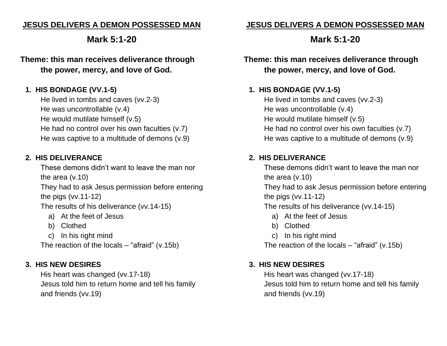### **JESUS DELIVERS A DEMON POSSESSED MAN**

# **Mark 5:1-20**

### **Theme: this man receives deliverance through the power, mercy, and love of God.**

### **1. HIS BONDAGE (VV.1-5)**

He lived in tombs and caves (vv.2-3) He was uncontrollable (v.4) He would mutilate himself (v.5) He had no control over his own faculties (v.7) He was captive to a multitude of demons (v.9)

#### **2. HIS DELIVERANCE**

These demons didn't want to leave the man nor the area (v.10)

They had to ask Jesus permission before entering the pigs (vv.11-12)

The results of his deliverance (vv.14-15)

- a) At the feet of Jesus
- b) Clothed
- c) In his right mind

The reaction of the locals  $-$  "afraid" (v.15b)

#### **3. HIS NEW DESIRES**

His heart was changed (vv.17-18) Jesus told him to return home and tell his family and friends (vv.19)

### **JESUS DELIVERS A DEMON POSSESSED MAN**

# **Mark 5:1-20**

**Theme: this man receives deliverance through the power, mercy, and love of God.**

### **1. HIS BONDAGE (VV.1-5)**

He lived in tombs and caves (vv.2-3) He was uncontrollable (v.4) He would mutilate himself (v.5) He had no control over his own faculties (v.7) He was captive to a multitude of demons (v.9)

### **2. HIS DELIVERANCE**

These demons didn't want to leave the man nor the area (v.10)

They had to ask Jesus permission before entering the pigs (vv.11-12)

The results of his deliverance (vv.14-15)

- a) At the feet of Jesus
- b) Clothed
- c) In his right mind

The reaction of the locals – "afraid" (v.15b)

#### **3. HIS NEW DESIRES**

His heart was changed (vv.17-18) Jesus told him to return home and tell his family and friends (vv.19)